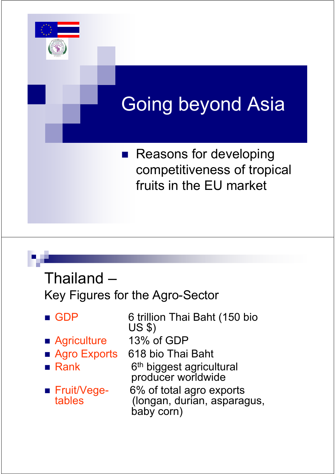

Thailand – Key Figures for the Agro-Sector

GDP 6 trillion Thai Baht (150 bio US \$)

- Agriculture 13% of GDP
- 
- $Rank$
- 
- Agro Exports 618 bio Thai Baht
	- 6<sup>th</sup> biggest agricultural producer worldwide
- Fruit/Vege- 6% of total agro exports<br>
(longan, durian, aspara) (longan, durian, asparagus, baby corn)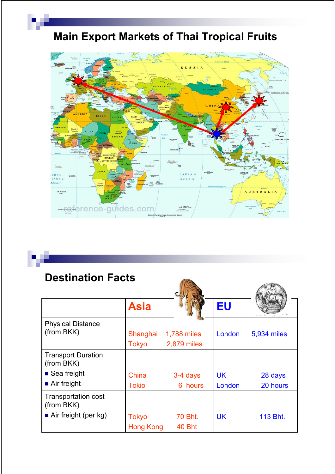## Main Export Markets of Thai Tropical Fruits



### Destination Facts

|                                          | <b>Asia</b>                      |                            | EU        |             |
|------------------------------------------|----------------------------------|----------------------------|-----------|-------------|
| <b>Physical Distance</b><br>(from BKK)   | Shanghai<br><b>Tokyo</b>         | 1,788 miles<br>2,879 miles | London    | 5,934 miles |
| <b>Transport Duration</b><br>(from BKK)  |                                  |                            |           |             |
| $\blacksquare$ Sea freight               | China                            | 3-4 days                   | <b>UK</b> | 28 days     |
| $\blacksquare$ Air freight               | <b>Tokio</b>                     | 6 hours                    | London    | 20 hours    |
| <b>Transportation cost</b><br>(from BKK) |                                  |                            |           |             |
| $\blacksquare$ Air freight (per kg)      | <b>Tokyo</b><br><b>Hong Kong</b> | 70 Bht.<br>40 Bht          | <b>UK</b> | 113 Bht.    |

A U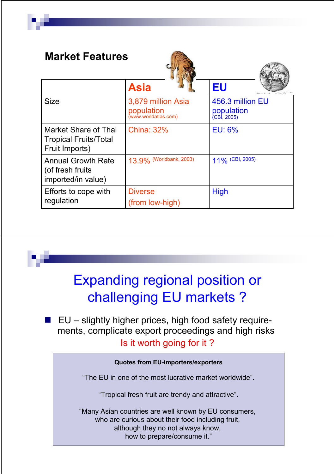| <b>Market Features</b>                                                 |                                                          |                                                      |  |  |  |
|------------------------------------------------------------------------|----------------------------------------------------------|------------------------------------------------------|--|--|--|
|                                                                        | <b>Asia</b>                                              | EU                                                   |  |  |  |
| <b>Size</b>                                                            | 3,879 million Asia<br>population<br>(www.worldatlas.com) | 456.3 million EU<br><b>population</b><br>(CBI, 2005) |  |  |  |
| Market Share of Thai<br><b>Tropical Fruits/Total</b><br>Fruit Imports) | <b>China: 32%</b>                                        | <b>EU: 6%</b>                                        |  |  |  |
| <b>Annual Growth Rate</b><br>(of fresh fruits)<br>imported/in value)   | 13.9% (Worldbank, 2003)                                  | 11% (CBI, 2005)                                      |  |  |  |
| Efforts to cope with<br>regulation                                     | <b>Diverse</b><br>(from low-high)                        | <b>High</b>                                          |  |  |  |

# Expanding regional position or challenging EU markets ?

■ EU – slightly higher prices, high food safety requirements, complicate export proceedings and high risks Is it worth going for it ?

### Quotes from EU-importers/exporters

"The EU in one of the most lucrative market worldwide".

"Tropical fresh fruit are trendy and attractive".

"Many Asian countries are well known by EU consumers, who are curious about their food including fruit, although they no not always know, how to prepare/consume it."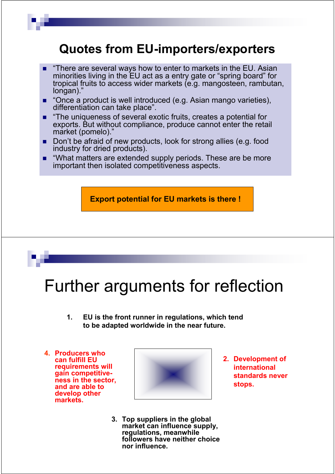### Quotes from EU-importers/exporters

- "There are several ways how to enter to markets in the EU. Asian minorities living in the EU act as a entry gate or "spring board" for tropical fruits to access wider markets (e.g. mangosteen, rambutan, longan)."
- "Once a product is well introduced (e.g. Asian mango varieties), differentiation can take place".
- **n** "The uniqueness of several exotic fruits, creates a potential for exports. But without compliance, produce cannot enter the retail market (pomelo)."
- Don't be afraid of new products, look for strong allies (e.g. food industry for dried products).
- "What matters are extended supply periods. These are be more important then isolated competitiveness aspects.

Export potential for EU markets is there !

# Further arguments for reflection

- 1. EU is the front runner in regulations, which tend to be adapted worldwide in the near future.
- 4. Producers who can fulfill EU requirements will gain competitiveness in the sector, and are able to develop other markets.



- 3. Top suppliers in the global market can influence supply, regulations, meanwhile followers have neither choice nor influence.
- 2. Development of international standards never stops.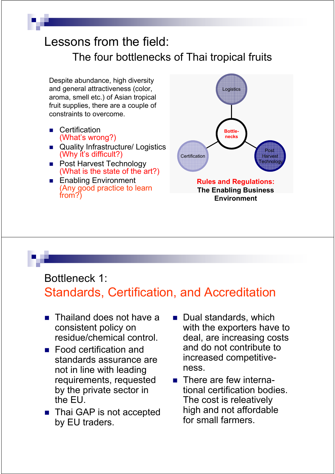## Lessons from the field: The four bottlenecks of Thai tropical fruits

Despite abundance, high diversity and general attractiveness (color, aroma, smell etc.) of Asian tropical fruit supplies, there are a couple of constraints to overcome.

- **Certification** (What's wrong?)
- **Quality Infrastructure/ Logistics** (Why it's difficult?)
- Post Harvest Technology (What is the state of the art?)
- **Enabling Environment** (Any good practice to learn from?)



### Bottleneck 1: Standards, Certification, and Accreditation

- **Thailand does not have a** consistent policy on residue/chemical control.
- **Food certification and** standards assurance are not in line with leading requirements, requested by the private sector in the EU.
- Thai GAP is not accepted by EU traders.
- **Dual standards, which** with the exporters have to deal, are increasing costs and do not contribute to increased competitiveness.
- There are few international certification bodies. The cost is releatively high and not affordable for small farmers.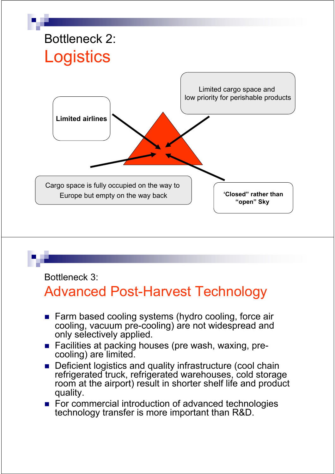

### Bottleneck 3:

## Advanced Post-Harvest Technology

- Farm based cooling systems (hydro cooling, force air cooling, vacuum pre-cooling) are not widespread and only selectively applied.
- Facilities at packing houses (pre wash, waxing, precooling) are limited.
- **Deficient logistics and quality infrastructure (cool chain** refrigerated truck, refrigerated warehouses, cold storage room at the airport) result in shorter shelf life and product quality.
- For commercial introduction of advanced technologies technology transfer is more important than R&D.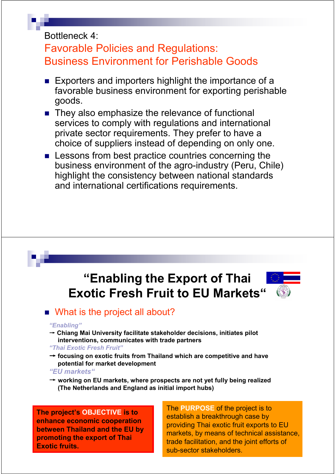### Bottleneck 4:

### Favorable Policies and Regulations: Business Environment for Perishable Goods

- **Exporters and importers highlight the importance of a** favorable business environment for exporting perishable goods.
- They also emphasize the relevance of functional services to comply with regulations and international private sector requirements. They prefer to have a choice of suppliers instead of depending on only one.
- **EXECUTE:** Lessons from best practice countries concerning the business environment of the agro-industry (Peru, Chile) highlight the consistency between national standards and international certifications requirements.

## "Enabling the Export of Thai Exotic Fresh Fruit to EU Markets"



### ■ What is the project all about?

#### "Enabling"

 $\rightarrow$  Chiang Mai University facilitate stakeholder decisions, initiates pilot interventions, communicates with trade partners

#### "Thai Exotic Fresh Fruit"

 $\rightarrow$  focusing on exotic fruits from Thailand which are competitive and have potential for market development

#### "EU markets"

 $\rightarrow$  working on EU markets, where prospects are not yet fully being realized (The Netherlands and England as initial import hubs)

The project's OBJECTIVE is to enhance economic cooperation between Thailand and the EU by promoting the export of Thai Exotic fruits.

The PURPOSE of the project is to establish a breakthrough case by providing Thai exotic fruit exports to EU markets, by means of technical assistance, trade facilitation, and the joint efforts of sub-sector stakeholders.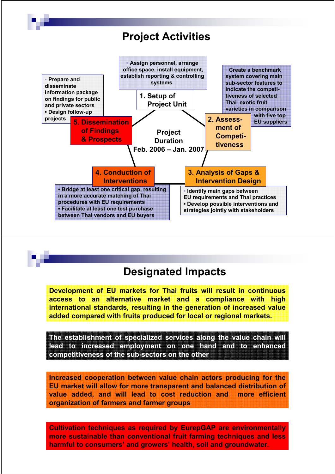



Development of EU markets for Thai fruits will result in continuous access to an alternative market and a compliance with high international standards, resulting in the generation of increased value added compared with fruits produced for local or regional markets.

The establishment of specialized services along the value chain will lead to increased employment on one hand and to enhanced competitiveness of the sub-sectors on the other

Increased cooperation between value chain actors producing for the EU market will allow for more transparent and balanced distribution of value added, and will lead to cost reduction and more efficient organization of farmers and farmer groups

Cultivation techniques as required by EurepGAP are environmentally more sustainable than conventional fruit farming techniques and less harmful to consumers' and growers' health, soil and groundwater.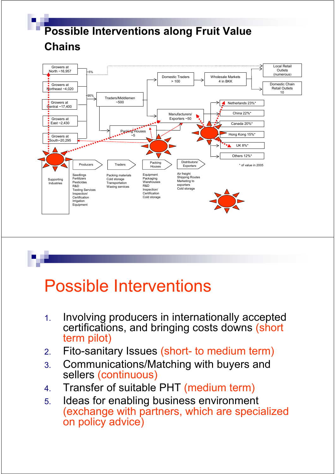

# Possible Interventions

- 1. Involving producers in internationally accepted certifications, and bringing costs downs (short term pilot)
- 2. Fito-sanitary Issues (short- to medium term)
- 3. Communications/Matching with buyers and sellers (continuous)
- 4. Transfer of suitable PHT (medium term)
- 5. Ideas for enabling business environment (exchange with partners, which are specialized on policy advice)